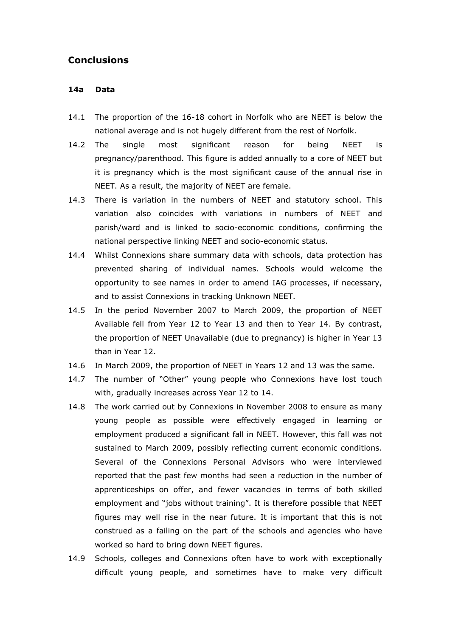# **Conclusions**

#### 14a Data

- 14.1 The proportion of the 16-18 cohort in Norfolk who are NEET is below the national average and is not hugely different from the rest of Norfolk.
- 14.2 The single most significant reason for being NEET is pregnancy/parenthood. This figure is added annually to a core of NEET but it is pregnancy which is the most significant cause of the annual rise in NEET. As a result, the majority of NEET are female.
- 14.3 There is variation in the numbers of NEET and statutory school. This variation also coincides with variations in numbers of NEET and parish/ward and is linked to socio-economic conditions, confirming the national perspective linking NEET and socio-economic status.
- 14.4 Whilst Connexions share summary data with schools, data protection has prevented sharing of individual names. Schools would welcome the opportunity to see names in order to amend IAG processes, if necessary, and to assist Connexions in tracking Unknown NEET.
- 14.5 In the period November 2007 to March 2009, the proportion of NEET Available fell from Year 12 to Year 13 and then to Year 14. By contrast, the proportion of NEET Unavailable (due to pregnancy) is higher in Year 13 than in Year 12.
- 14.6 In March 2009, the proportion of NEET in Years 12 and 13 was the same.
- 14.7 The number of "Other" young people who Connexions have lost touch with, gradually increases across Year 12 to 14.
- 14.8 The work carried out by Connexions in November 2008 to ensure as many young people as possible were effectively engaged in learning or employment produced a significant fall in NEET. However, this fall was not sustained to March 2009, possibly reflecting current economic conditions. Several of the Connexions Personal Advisors who were interviewed reported that the past few months had seen a reduction in the number of apprenticeships on offer, and fewer vacancies in terms of both skilled employment and "jobs without training". It is therefore possible that NEET figures may well rise in the near future. It is important that this is not construed as a failing on the part of the schools and agencies who have worked so hard to bring down NEET figures.
- 14.9 Schools, colleges and Connexions often have to work with exceptionally difficult young people, and sometimes have to make very difficult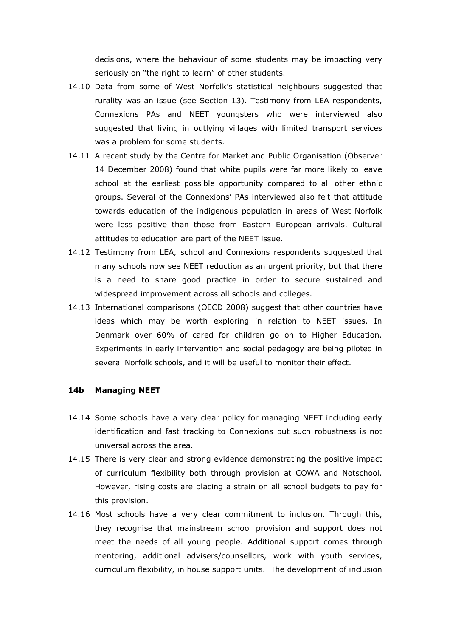decisions, where the behaviour of some students may be impacting very seriously on "the right to learn" of other students.

- 14.10 Data from some of West Norfolk's statistical neighbours suggested that rurality was an issue (see Section 13). Testimony from LEA respondents, Connexions PAs and NEET youngsters who were interviewed also suggested that living in outlying villages with limited transport services was a problem for some students.
- 14.11 A recent study by the Centre for Market and Public Organisation (Observer 14 December 2008) found that white pupils were far more likely to leave school at the earliest possible opportunity compared to all other ethnic groups. Several of the Connexions' PAs interviewed also felt that attitude towards education of the indigenous population in areas of West Norfolk were less positive than those from Eastern European arrivals. Cultural attitudes to education are part of the NEET issue.
- 14.12 Testimony from LEA, school and Connexions respondents suggested that many schools now see NEET reduction as an urgent priority, but that there is a need to share good practice in order to secure sustained and widespread improvement across all schools and colleges.
- 14.13 International comparisons (OECD 2008) suggest that other countries have ideas which may be worth exploring in relation to NEET issues. In Denmark over 60% of cared for children go on to Higher Education. Experiments in early intervention and social pedagogy are being piloted in several Norfolk schools, and it will be useful to monitor their effect.

### 14b Managing NEET

- 14.14 Some schools have a very clear policy for managing NEET including early identification and fast tracking to Connexions but such robustness is not universal across the area.
- 14.15 There is very clear and strong evidence demonstrating the positive impact of curriculum flexibility both through provision at COWA and Notschool. However, rising costs are placing a strain on all school budgets to pay for this provision.
- 14.16 Most schools have a very clear commitment to inclusion. Through this, they recognise that mainstream school provision and support does not meet the needs of all young people. Additional support comes through mentoring, additional advisers/counsellors, work with youth services, curriculum flexibility, in house support units. The development of inclusion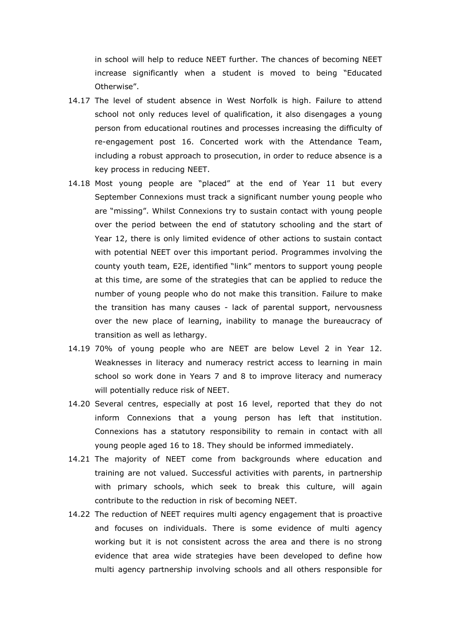in school will help to reduce NEET further. The chances of becoming NEET increase significantly when a student is moved to being "Educated Otherwise".

- 14.17 The level of student absence in West Norfolk is high. Failure to attend school not only reduces level of qualification, it also disengages a young person from educational routines and processes increasing the difficulty of re-engagement post 16. Concerted work with the Attendance Team, including a robust approach to prosecution, in order to reduce absence is a key process in reducing NEET.
- 14.18 Most young people are "placed" at the end of Year 11 but every September Connexions must track a significant number young people who are "missing". Whilst Connexions try to sustain contact with young people over the period between the end of statutory schooling and the start of Year 12, there is only limited evidence of other actions to sustain contact with potential NEET over this important period. Programmes involving the county youth team, E2E, identified "link" mentors to support young people at this time, are some of the strategies that can be applied to reduce the number of young people who do not make this transition. Failure to make the transition has many causes - lack of parental support, nervousness over the new place of learning, inability to manage the bureaucracy of transition as well as lethargy.
- 14.19 70% of young people who are NEET are below Level 2 in Year 12. Weaknesses in literacy and numeracy restrict access to learning in main school so work done in Years 7 and 8 to improve literacy and numeracy will potentially reduce risk of NEET.
- 14.20 Several centres, especially at post 16 level, reported that they do not inform Connexions that a young person has left that institution. Connexions has a statutory responsibility to remain in contact with all young people aged 16 to 18. They should be informed immediately.
- 14.21 The majority of NEET come from backgrounds where education and training are not valued. Successful activities with parents, in partnership with primary schools, which seek to break this culture, will again contribute to the reduction in risk of becoming NEET.
- 14.22 The reduction of NEET requires multi agency engagement that is proactive and focuses on individuals. There is some evidence of multi agency working but it is not consistent across the area and there is no strong evidence that area wide strategies have been developed to define how multi agency partnership involving schools and all others responsible for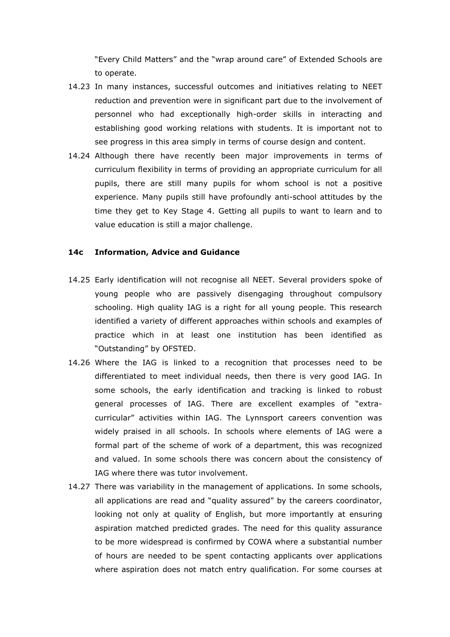"Every Child Matters" and the "wrap around care" of Extended Schools are to operate.

- 14.23 In many instances, successful outcomes and initiatives relating to NEET reduction and prevention were in significant part due to the involvement of personnel who had exceptionally high-order skills in interacting and establishing good working relations with students. It is important not to see progress in this area simply in terms of course design and content.
- 14.24 Although there have recently been major improvements in terms of curriculum flexibility in terms of providing an appropriate curriculum for all pupils, there are still many pupils for whom school is not a positive experience. Many pupils still have profoundly anti-school attitudes by the time they get to Key Stage 4. Getting all pupils to want to learn and to value education is still a major challenge.

## 14c Information, Advice and Guidance

- 14.25 Early identification will not recognise all NEET. Several providers spoke of young people who are passively disengaging throughout compulsory schooling. High quality IAG is a right for all young people. This research identified a variety of different approaches within schools and examples of practice which in at least one institution has been identified as "Outstanding" by OFSTED.
- 14.26 Where the IAG is linked to a recognition that processes need to be differentiated to meet individual needs, then there is very good IAG. In some schools, the early identification and tracking is linked to robust general processes of IAG. There are excellent examples of "extracurricular" activities within IAG. The Lynnsport careers convention was widely praised in all schools. In schools where elements of IAG were a formal part of the scheme of work of a department, this was recognized and valued. In some schools there was concern about the consistency of IAG where there was tutor involvement.
- 14.27 There was variability in the management of applications. In some schools, all applications are read and "quality assured" by the careers coordinator, looking not only at quality of English, but more importantly at ensuring aspiration matched predicted grades. The need for this quality assurance to be more widespread is confirmed by COWA where a substantial number of hours are needed to be spent contacting applicants over applications where aspiration does not match entry qualification. For some courses at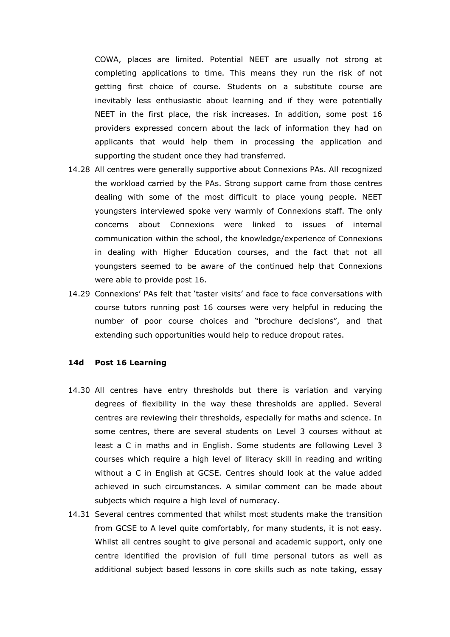COWA, places are limited. Potential NEET are usually not strong at completing applications to time. This means they run the risk of not getting first choice of course. Students on a substitute course are inevitably less enthusiastic about learning and if they were potentially NEET in the first place, the risk increases. In addition, some post 16 providers expressed concern about the lack of information they had on applicants that would help them in processing the application and supporting the student once they had transferred.

- 14.28 All centres were generally supportive about Connexions PAs. All recognized the workload carried by the PAs. Strong support came from those centres dealing with some of the most difficult to place young people. NEET youngsters interviewed spoke very warmly of Connexions staff. The only concerns about Connexions were linked to issues of internal communication within the school, the knowledge/experience of Connexions in dealing with Higher Education courses, and the fact that not all youngsters seemed to be aware of the continued help that Connexions were able to provide post 16.
- 14.29 Connexions' PAs felt that 'taster visits' and face to face conversations with course tutors running post 16 courses were very helpful in reducing the number of poor course choices and "brochure decisions", and that extending such opportunities would help to reduce dropout rates.

#### 14d Post 16 Learning

- 14.30 All centres have entry thresholds but there is variation and varying degrees of flexibility in the way these thresholds are applied. Several centres are reviewing their thresholds, especially for maths and science. In some centres, there are several students on Level 3 courses without at least a C in maths and in English. Some students are following Level 3 courses which require a high level of literacy skill in reading and writing without a C in English at GCSE. Centres should look at the value added achieved in such circumstances. A similar comment can be made about subjects which require a high level of numeracy.
- 14.31 Several centres commented that whilst most students make the transition from GCSE to A level quite comfortably, for many students, it is not easy. Whilst all centres sought to give personal and academic support, only one centre identified the provision of full time personal tutors as well as additional subject based lessons in core skills such as note taking, essay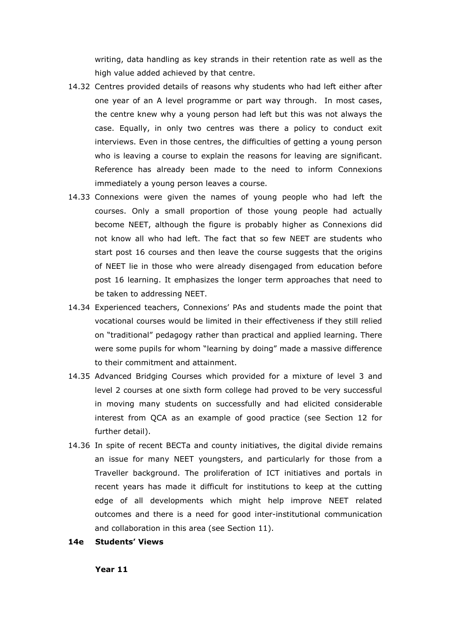writing, data handling as key strands in their retention rate as well as the high value added achieved by that centre.

- 14.32 Centres provided details of reasons why students who had left either after one year of an A level programme or part way through. In most cases, the centre knew why a young person had left but this was not always the case. Equally, in only two centres was there a policy to conduct exit interviews. Even in those centres, the difficulties of getting a young person who is leaving a course to explain the reasons for leaving are significant. Reference has already been made to the need to inform Connexions immediately a young person leaves a course.
- 14.33 Connexions were given the names of young people who had left the courses. Only a small proportion of those young people had actually become NEET, although the figure is probably higher as Connexions did not know all who had left. The fact that so few NEET are students who start post 16 courses and then leave the course suggests that the origins of NEET lie in those who were already disengaged from education before post 16 learning. It emphasizes the longer term approaches that need to be taken to addressing NEET.
- 14.34 Experienced teachers, Connexions' PAs and students made the point that vocational courses would be limited in their effectiveness if they still relied on "traditional" pedagogy rather than practical and applied learning. There were some pupils for whom "learning by doing" made a massive difference to their commitment and attainment.
- 14.35 Advanced Bridging Courses which provided for a mixture of level 3 and level 2 courses at one sixth form college had proved to be very successful in moving many students on successfully and had elicited considerable interest from QCA as an example of good practice (see Section 12 for further detail).
- 14.36 In spite of recent BECTa and county initiatives, the digital divide remains an issue for many NEET youngsters, and particularly for those from a Traveller background. The proliferation of ICT initiatives and portals in recent years has made it difficult for institutions to keep at the cutting edge of all developments which might help improve NEET related outcomes and there is a need for good inter-institutional communication and collaboration in this area (see Section 11).
- 14e Students' Views

Year 11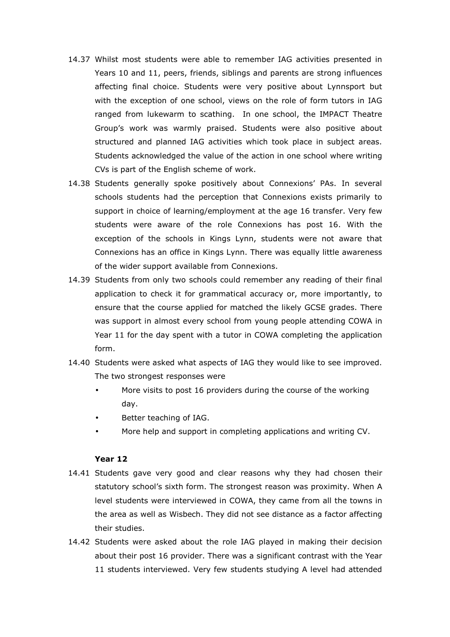- 14.37 Whilst most students were able to remember IAG activities presented in Years 10 and 11, peers, friends, siblings and parents are strong influences affecting final choice. Students were very positive about Lynnsport but with the exception of one school, views on the role of form tutors in IAG ranged from lukewarm to scathing. In one school, the IMPACT Theatre Group's work was warmly praised. Students were also positive about structured and planned IAG activities which took place in subject areas. Students acknowledged the value of the action in one school where writing CVs is part of the English scheme of work.
- 14.38 Students generally spoke positively about Connexions' PAs. In several schools students had the perception that Connexions exists primarily to support in choice of learning/employment at the age 16 transfer. Very few students were aware of the role Connexions has post 16. With the exception of the schools in Kings Lynn, students were not aware that Connexions has an office in Kings Lynn. There was equally little awareness of the wider support available from Connexions.
- 14.39 Students from only two schools could remember any reading of their final application to check it for grammatical accuracy or, more importantly, to ensure that the course applied for matched the likely GCSE grades. There was support in almost every school from young people attending COWA in Year 11 for the day spent with a tutor in COWA completing the application form.
- 14.40 Students were asked what aspects of IAG they would like to see improved. The two strongest responses were
	- More visits to post 16 providers during the course of the working day.
	- Better teaching of IAG.
	- More help and support in completing applications and writing CV.

## Year 12

- 14.41 Students gave very good and clear reasons why they had chosen their statutory school's sixth form. The strongest reason was proximity. When A level students were interviewed in COWA, they came from all the towns in the area as well as Wisbech. They did not see distance as a factor affecting their studies.
- 14.42 Students were asked about the role IAG played in making their decision about their post 16 provider. There was a significant contrast with the Year 11 students interviewed. Very few students studying A level had attended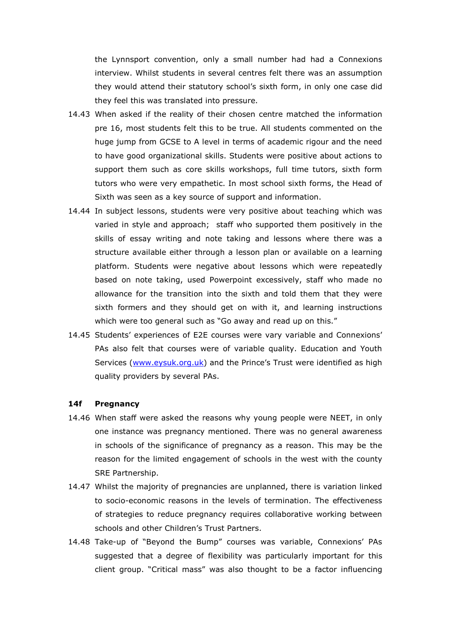the Lynnsport convention, only a small number had had a Connexions interview. Whilst students in several centres felt there was an assumption they would attend their statutory school's sixth form, in only one case did they feel this was translated into pressure.

- 14.43 When asked if the reality of their chosen centre matched the information pre 16, most students felt this to be true. All students commented on the huge jump from GCSE to A level in terms of academic rigour and the need to have good organizational skills. Students were positive about actions to support them such as core skills workshops, full time tutors, sixth form tutors who were very empathetic. In most school sixth forms, the Head of Sixth was seen as a key source of support and information.
- 14.44 In subject lessons, students were very positive about teaching which was varied in style and approach; staff who supported them positively in the skills of essay writing and note taking and lessons where there was a structure available either through a lesson plan or available on a learning platform. Students were negative about lessons which were repeatedly based on note taking, used Powerpoint excessively, staff who made no allowance for the transition into the sixth and told them that they were sixth formers and they should get on with it, and learning instructions which were too general such as "Go away and read up on this."
- 14.45 Students' experiences of E2E courses were vary variable and Connexions' PAs also felt that courses were of variable quality. Education and Youth Services (www.eysuk.org.uk) and the Prince's Trust were identified as high quality providers by several PAs.

### 14f Pregnancy

- 14.46 When staff were asked the reasons why young people were NEET, in only one instance was pregnancy mentioned. There was no general awareness in schools of the significance of pregnancy as a reason. This may be the reason for the limited engagement of schools in the west with the county SRE Partnership.
- 14.47 Whilst the majority of pregnancies are unplanned, there is variation linked to socio-economic reasons in the levels of termination. The effectiveness of strategies to reduce pregnancy requires collaborative working between schools and other Children's Trust Partners.
- 14.48 Take-up of "Beyond the Bump" courses was variable, Connexions' PAs suggested that a degree of flexibility was particularly important for this client group. "Critical mass" was also thought to be a factor influencing